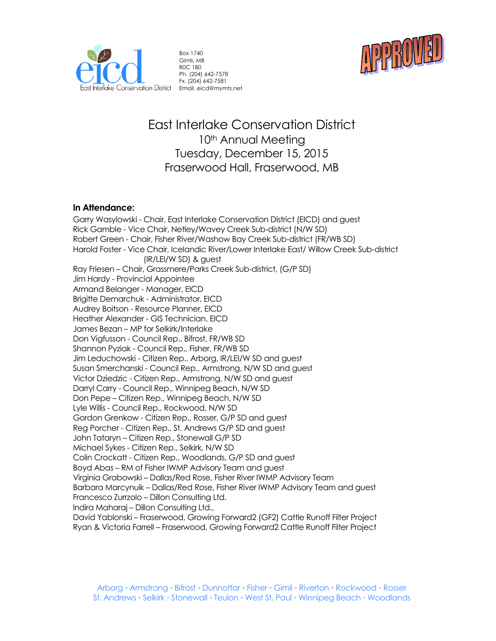

Box 1740 Gimli, MB R0C 1B0 Ph. (204) 642-7578 Fx. (204) 642-7581



# East Interlake Conservation District 10<sup>th</sup> Annual Meeting Tuesday, December 15, 2015 Fraserwood Hall, Fraserwood, MB

### **In Attendance:**

Garry Wasylowski - Chair, East Interlake Conservation District (EICD) and guest Rick Gamble - Vice Chair, Netley/Wavey Creek Sub-district (N/W SD) Robert Green - Chair, Fisher River/Washow Bay Creek Sub-district (FR/WB SD) Harold Foster - Vice Chair, Icelandic River/Lower Interlake East/ Willow Creek Sub-district (IR/LEI/W SD) & guest Ray Friesen – Chair, Grassmere/Parks Creek Sub-district, (G/P SD) Jim Hardy - Provincial Appointee Armand Belanger - Manager, EICD Brigitte Demarchuk - Administrator, EICD Audrey Boitson - Resource Planner, EICD Heather Alexander - GIS Technician, EICD James Bezan – MP for Selkirk/Interlake Don Vigfusson - Council Rep., Bifrost, FR/WB SD Shannon Pyziak - Council Rep., Fisher, FR/WB SD Jim Leduchowski - Citizen Rep., Arborg, IR/LEI/W SD and guest Susan Smerchanski - Council Rep., Armstrong, N/W SD and guest Victor Dziedzic - Citizen Rep., Armstrong, N/W SD and guest Darryl Carry - Council Rep., Winnipeg Beach, N/W SD Don Pepe – Citizen Rep., Winnipeg Beach, N/W SD Lyle Willis - Council Rep., Rockwood, N/W SD Gordon Grenkow - Citizen Rep., Rosser, G/P SD and guest Reg Porcher - Citizen Rep., St. Andrews G/P SD and guest John Tataryn – Citizen Rep., Stonewall G/P SD Michael Sykes - Citizen Rep., Selkirk, N/W SD Colin Crockatt - Citizen Rep., Woodlands, G/P SD and guest Boyd Abas – RM of Fisher IWMP Advisory Team and guest Virginia Grabowski – Dallas/Red Rose, Fisher River IWMP Advisory Team Barbara Marcynuik – Dallas/Red Rose, Fisher River IWMP Advisory Team and guest Francesco Zurrzolo – Dillon Consulting Ltd. Indira Maharaj – Dillon Consulting Ltd., David Yablonski – Fraserwood, Growing Forward2 (GF2) Cattle Runoff Filter Project Ryan & Victoria Farrell – Fraserwood, Growing Forward2 Cattle Runoff Filter Project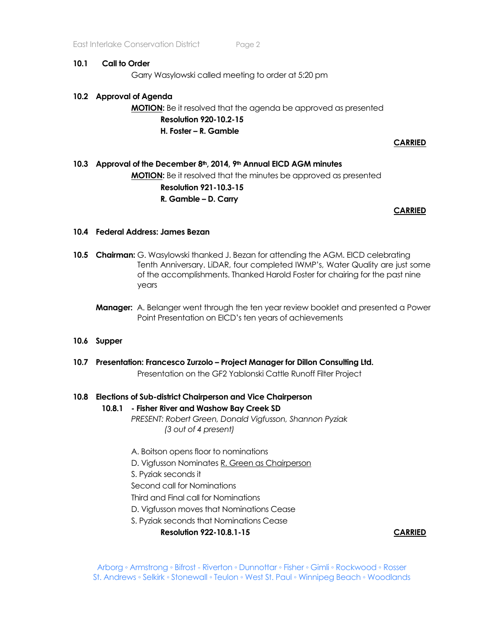#### **10.1 Call to Order**

Garry Wasylowski called meeting to order at 5:20 pm

### **10.2 Approval of Agenda**

# **MOTION:** Be it resolved that the agenda be approved as presented **Resolution 920-10.2-15 H. Foster – R. Gamble**

**CARRIED**

# **10.3 Approval of the December 8th, 2014, 9th Annual EICD AGM minutes MOTION:** Be it resolved that the minutes be approved as presented **Resolution 921-10.3-15 R. Gamble – D. Carry**

**CARRIED** 

### **10.4 Federal Address: James Bezan**

- **10.5 Chairman:** G. Wasylowski thanked J. Bezan for attending the AGM. EICD celebrating Tenth Anniversary. LiDAR, four completed IWMP's, Water Quality are just some of the accomplishments. Thanked Harold Foster for chairing for the past nine years
	- **Manager:** A. Belanger went through the ten year review booklet and presented a Power Point Presentation on EICD's ten years of achievements

#### **10.6 Supper**

**10.7 Presentation: Francesco Zurzolo – Project Manager for Dillon Consulting Ltd.** Presentation on the GF2 Yablonski Cattle Runoff Filter Project

#### **10.8 Elections of Sub-district Chairperson and Vice Chairperson**

#### **10.8.1 - Fisher River and Washow Bay Creek SD**

*PRESENT: Robert Green, Donald Vigfusson, Shannon Pyziak (3 out of 4 present)*

A. Boitson opens floor to nominations

D. Vigfusson Nominates R. Green as Chairperson

S. Pyziak seconds it

Second call for Nominations

Third and Final call for Nominations

D. Vigfusson moves that Nominations Cease

S. Pyziak seconds that Nominations Cease

**Resolution 922-10.8.1-15 CARRIED**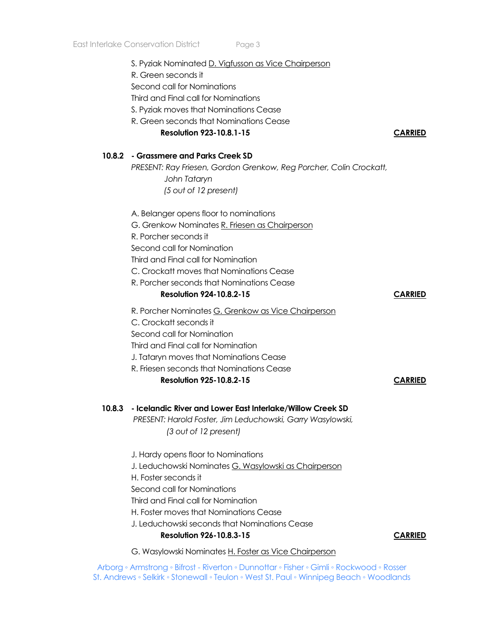| S. Pyziak Nominated D. Vigfusson as Vice Chairperson<br>R. Green seconds it<br>Second call for Nominations<br>Third and Final call for Nominations<br>S. Pyziak moves that Nominations Cease<br>R. Green seconds that Nominations Cease<br><b>Resolution 923-10.8.1-15</b><br>10.8.2 - Grassmere and Parks Creek SD<br>PRESENT: Ray Friesen, Gordon Grenkow, Reg Porcher, Colin Crockatt,<br>John Tataryn<br>(5 out of 12 present) | <b>CARRIED</b> |
|------------------------------------------------------------------------------------------------------------------------------------------------------------------------------------------------------------------------------------------------------------------------------------------------------------------------------------------------------------------------------------------------------------------------------------|----------------|
| A. Belanger opens floor to nominations<br>G. Grenkow Nominates R. Friesen as Chairperson<br>R. Porcher seconds it<br>Second call for Nomination<br>Third and Final call for Nomination<br>C. Crockatt moves that Nominations Cease<br>R. Porcher seconds that Nominations Cease<br><b>Resolution 924-10.8.2-15</b>                                                                                                                 | <b>CARRIED</b> |
| R. Porcher Nominates G. Grenkow as Vice Chairperson<br>C. Crockatt seconds it<br>Second call for Nomination<br>Third and Final call for Nomination<br>J. Tataryn moves that Nominations Cease<br>R. Friesen seconds that Nominations Cease<br><b>Resolution 925-10.8.2-15</b>                                                                                                                                                      | <b>CARRIED</b> |
| 10.8.3 - Icelandic River and Lower East Interlake/Willow Creek SD<br>PRESENT: Harold Foster, Jim Leduchowski, Garry Wasylowski,<br>(3 out of 12 present)                                                                                                                                                                                                                                                                           |                |
| J. Hardy opens floor to Nominations<br>J. Leduchowski Nominates G. Wasylowski as Chairperson<br>H. Foster seconds it<br>Second call for Nominations<br>Third and Final call for Nomination<br>H. Foster moves that Nominations Cease<br>J. Leduchowski seconds that Nominations Cease<br><b>Resolution 926-10.8.3-15</b>                                                                                                           | <b>CARRIED</b> |
|                                                                                                                                                                                                                                                                                                                                                                                                                                    |                |

G. Wasylowski Nominates H. Foster as Vice Chairperson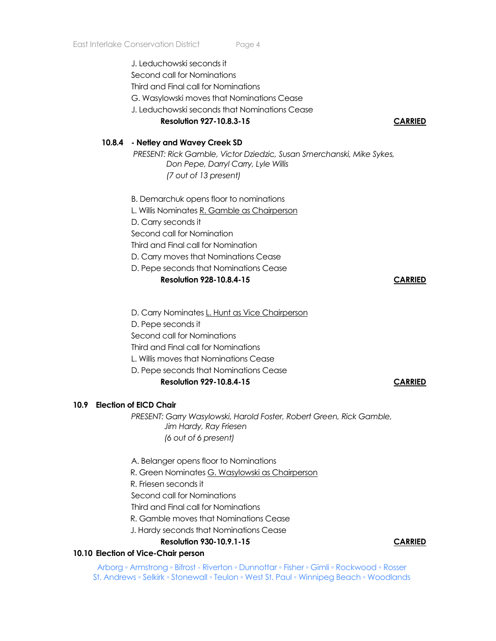J. Leduchowski seconds it Second call for Nominations Third and Final call for Nominations G. Wasylowski moves that Nominations Cease J. Leduchowski seconds that Nominations Cease

#### **Resolution 927-10.8.3-15 CARRIED**

#### **10.8.4 - Netley and Wavey Creek SD**

*PRESENT: Rick Gamble, Victor Dziedzic, Susan Smerchanski, Mike Sykes, Don Pepe, Darryl Carry, Lyle Willis (7 out of 13 present)*

B. Demarchuk opens floor to nominations

L. Willis Nominates R. Gamble as Chairperson

D. Carry seconds it

Second call for Nomination

Third and Final call for Nomination

D. Carry moves that Nominations Cease

D. Pepe seconds that Nominations Cease

### **Resolution 928-10.8.4-15 CARRIED**

D. Carry Nominates L. Hunt as Vice Chairperson

D. Pepe seconds it

Second call for Nominations

Third and Final call for Nominations

L. Willis moves that Nominations Cease

D. Pepe seconds that Nominations Cease

#### **Resolution 929-10.8.4-15 CARRIED**

### **10.9 Election of EICD Chair**

*PRESENT: Garry Wasylowski, Harold Foster, Robert Green, Rick Gamble, Jim Hardy, Ray Friesen (6 out of 6 present)*

A. Belanger opens floor to Nominations

R. Green Nominates G. Wasylowski as Chairperson

R. Friesen seconds it

Second call for Nominations

Third and Final call for Nominations

R. Gamble moves that Nominations Cease

J. Hardy seconds that Nominations Cease

**Resolution 930-10.9.1-15 CARRIED**

#### **10.10 Election of Vice-Chair person**